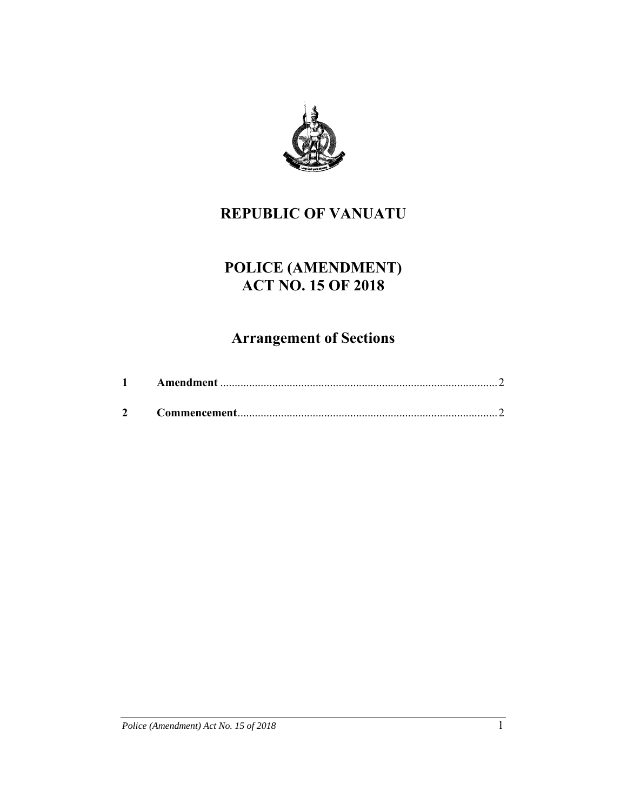

## **REPUBLIC OF VANUATU**

# **POLICE (AMENDMENT) ACT NO. 15 OF 2018**

# **Arrangement of Sections**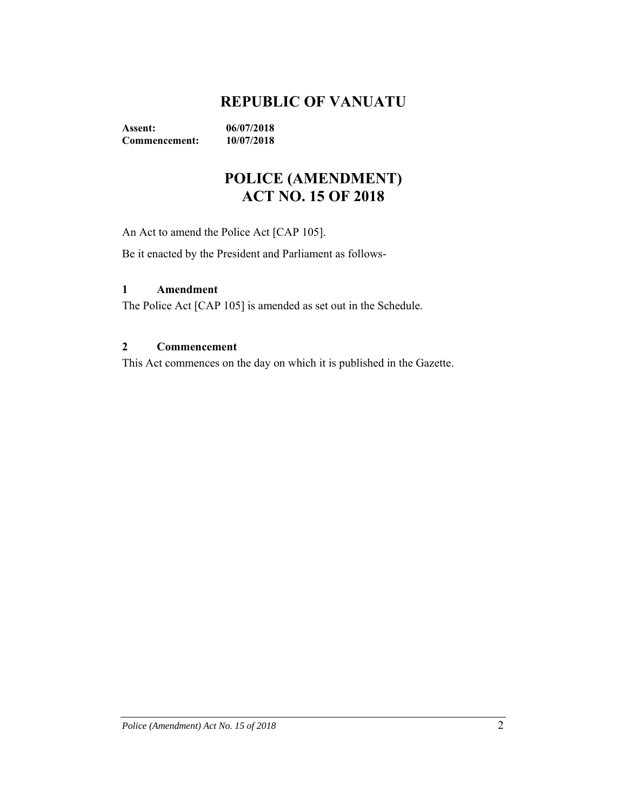### **REPUBLIC OF VANUATU**

**Assent: 06/07/2018 Commencement: 10/07/2018** 

### **POLICE (AMENDMENT) ACT NO. 15 OF 2018**

An Act to amend the Police Act [CAP 105].

Be it enacted by the President and Parliament as follows-

#### **1 Amendment**

The Police Act [CAP 105] is amended as set out in the Schedule.

### **2 Commencement**

This Act commences on the day on which it is published in the Gazette.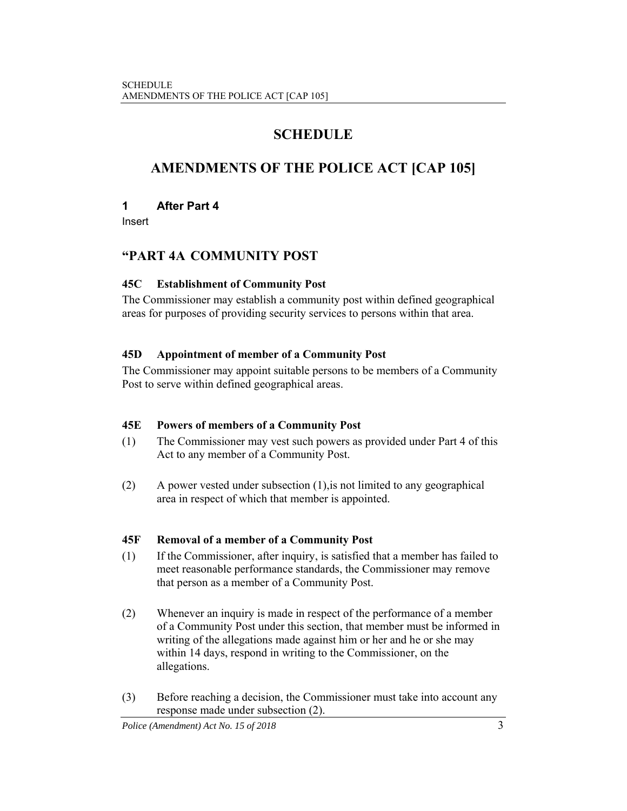### **SCHEDULE**

### **AMENDMENTS OF THE POLICE ACT [CAP 105]**

### **1 After Part 4**

Insert

### **"PART 4A COMMUNITY POST**

### **45C Establishment of Community Post**

The Commissioner may establish a community post within defined geographical areas for purposes of providing security services to persons within that area.

### **45D Appointment of member of a Community Post**

The Commissioner may appoint suitable persons to be members of a Community Post to serve within defined geographical areas.

### **45E Powers of members of a Community Post**

- (1) The Commissioner may vest such powers as provided under Part 4 of this Act to any member of a Community Post.
- (2) A power vested under subsection (1),is not limited to any geographical area in respect of which that member is appointed.

### **45F Removal of a member of a Community Post**

- (1) If the Commissioner, after inquiry, is satisfied that a member has failed to meet reasonable performance standards, the Commissioner may remove that person as a member of a Community Post.
- (2) Whenever an inquiry is made in respect of the performance of a member of a Community Post under this section, that member must be informed in writing of the allegations made against him or her and he or she may within 14 days, respond in writing to the Commissioner, on the allegations.
- (3) Before reaching a decision, the Commissioner must take into account any response made under subsection (2).